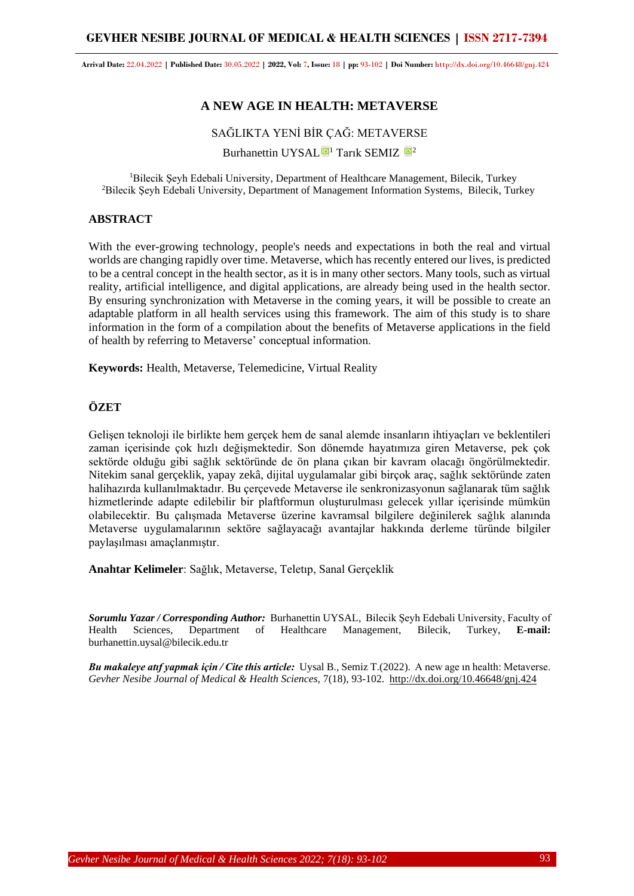# **GEVHER NESIBE JOURNAL OF MEDICAL & HEALTH SCIENCES | ISSN 2717-7394**

**Arrival Date:** 22.04.2022 **| Published Date:** 30.05.2022 **| 2022, Vol:** 7**, Issue:** 18 **| pp:** 93-102 **| Doi Number:** http://dx.doi.org/10.46648/gnj.424

# **A NEW AGE IN HEALTH: METAVERSE**

# SAĞLIKTA YENİ BİR ÇAĞ: METAVERSE

Burhanettin UYSAL $\blacksquare$ <sup>1</sup> Tarık SEMIZ  $\blacksquare$ <sup>2</sup>

<sup>1</sup>Bilecik Şeyh Edebali University, Department of Healthcare Management, Bilecik, Turkey <sup>2</sup>Bilecik Şeyh Edebali University, Department of Management Information Systems, Bilecik, Turkey

# **ABSTRACT**

With the ever-growing technology, people's needs and expectations in both the real and virtual worlds are changing rapidly over time. Metaverse, which has recently entered our lives, is predicted to be a central concept in the health sector, as it is in many other sectors. Many tools, such as virtual reality, artificial intelligence, and digital applications, are already being used in the health sector. By ensuring synchronization with Metaverse in the coming years, it will be possible to create an adaptable platform in all health services using this framework. The aim of this study is to share information in the form of a compilation about the benefits of Metaverse applications in the field of health by referring to Metaverse' conceptual information.

**Keywords:** Health, Metaverse, Telemedicine, Virtual Reality

# **ÖZET**

Gelişen teknoloji ile birlikte hem gerçek hem de sanal alemde insanların ihtiyaçları ve beklentileri zaman içerisinde çok hızlı değişmektedir. Son dönemde hayatımıza giren Metaverse, pek çok sektörde olduğu gibi sağlık sektöründe de ön plana çıkan bir kavram olacağı öngörülmektedir. Nitekim sanal gerçeklik, yapay zekâ, dijital uygulamalar gibi birçok araç, sağlık sektöründe zaten halihazırda kullanılmaktadır. Bu çerçevede Metaverse ile senkronizasyonun sağlanarak tüm sağlık hizmetlerinde adapte edilebilir bir plaftformun oluşturulması gelecek yıllar içerisinde mümkün olabilecektir. Bu çalışmada Metaverse üzerine kavramsal bilgilere değinilerek sağlık alanında Metaverse uygulamalarının sektöre sağlayacağı avantajlar hakkında derleme türünde bilgiler paylaşılması amaçlanmıştır.

**Anahtar Kelimeler**: Sağlık, Metaverse, Teletıp, Sanal Gerçeklik

*Sorumlu Yazar / Corresponding Author:* Burhanettin UYSAL, Bilecik Şeyh Edebali University, Faculty of Health Sciences, Department of Healthcare Management, Bilecik, Turkey, **E-mail:** burhanettin.uysal@bilecik.edu.tr

*Bu makaleye atıf yapmak için / Cite this article:* Uysal B., Semiz T.(2022). A new age ın health: Metaverse. *Gevher Nesibe Journal of Medical & Health Sciences,* 7(18), 93-102. http://dx.doi.org/10.46648/gnj.424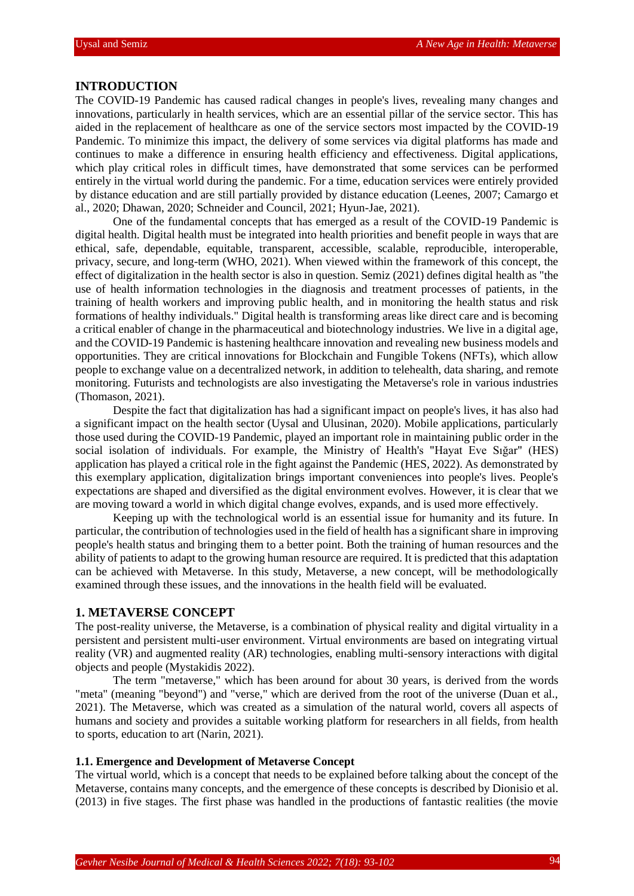### **INTRODUCTION**

The COVID-19 Pandemic has caused radical changes in people's lives, revealing many changes and innovations, particularly in health services, which are an essential pillar of the service sector. This has aided in the replacement of healthcare as one of the service sectors most impacted by the COVID-19 Pandemic. To minimize this impact, the delivery of some services via digital platforms has made and continues to make a difference in ensuring health efficiency and effectiveness. Digital applications, which play critical roles in difficult times, have demonstrated that some services can be performed entirely in the virtual world during the pandemic. For a time, education services were entirely provided by distance education and are still partially provided by distance education (Leenes, 2007; Camargo et al., 2020; Dhawan, 2020; Schneider and Council, 2021; Hyun-Jae, 2021).

One of the fundamental concepts that has emerged as a result of the COVID-19 Pandemic is digital health. Digital health must be integrated into health priorities and benefit people in ways that are ethical, safe, dependable, equitable, transparent, accessible, scalable, reproducible, interoperable, privacy, secure, and long-term (WHO, 2021). When viewed within the framework of this concept, the effect of digitalization in the health sector is also in question. Semiz (2021) defines digital health as "the use of health information technologies in the diagnosis and treatment processes of patients, in the training of health workers and improving public health, and in monitoring the health status and risk formations of healthy individuals." Digital health is transforming areas like direct care and is becoming a critical enabler of change in the pharmaceutical and biotechnology industries. We live in a digital age, and the COVID-19 Pandemic is hastening healthcare innovation and revealing new business models and opportunities. They are critical innovations for Blockchain and Fungible Tokens (NFTs), which allow people to exchange value on a decentralized network, in addition to telehealth, data sharing, and remote monitoring. Futurists and technologists are also investigating the Metaverse's role in various industries (Thomason, 2021).

Despite the fact that digitalization has had a significant impact on people's lives, it has also had a significant impact on the health sector (Uysal and Ulusinan, 2020). Mobile applications, particularly those used during the COVID-19 Pandemic, played an important role in maintaining public order in the social isolation of individuals. For example, the Ministry of Health's "Hayat Eve Sığar" (HES) application has played a critical role in the fight against the Pandemic (HES, 2022). As demonstrated by this exemplary application, digitalization brings important conveniences into people's lives. People's expectations are shaped and diversified as the digital environment evolves. However, it is clear that we are moving toward a world in which digital change evolves, expands, and is used more effectively.

Keeping up with the technological world is an essential issue for humanity and its future. In particular, the contribution of technologies used in the field of health has a significant share in improving people's health status and bringing them to a better point. Both the training of human resources and the ability of patients to adapt to the growing human resource are required. It is predicted that this adaptation can be achieved with Metaverse. In this study, Metaverse, a new concept, will be methodologically examined through these issues, and the innovations in the health field will be evaluated.

# **1. METAVERSE CONCEPT**

The post-reality universe, the Metaverse, is a combination of physical reality and digital virtuality in a persistent and persistent multi-user environment. Virtual environments are based on integrating virtual reality (VR) and augmented reality (AR) technologies, enabling multi-sensory interactions with digital objects and people (Mystakidis 2022).

The term "metaverse," which has been around for about 30 years, is derived from the words "meta" (meaning "beyond") and "verse," which are derived from the root of the universe (Duan et al., 2021). The Metaverse, which was created as a simulation of the natural world, covers all aspects of humans and society and provides a suitable working platform for researchers in all fields, from health to sports, education to art (Narin, 2021).

#### **1.1. Emergence and Development of Metaverse Concept**

The virtual world, which is a concept that needs to be explained before talking about the concept of the Metaverse, contains many concepts, and the emergence of these concepts is described by Dionisio et al. (2013) in five stages. The first phase was handled in the productions of fantastic realities (the movie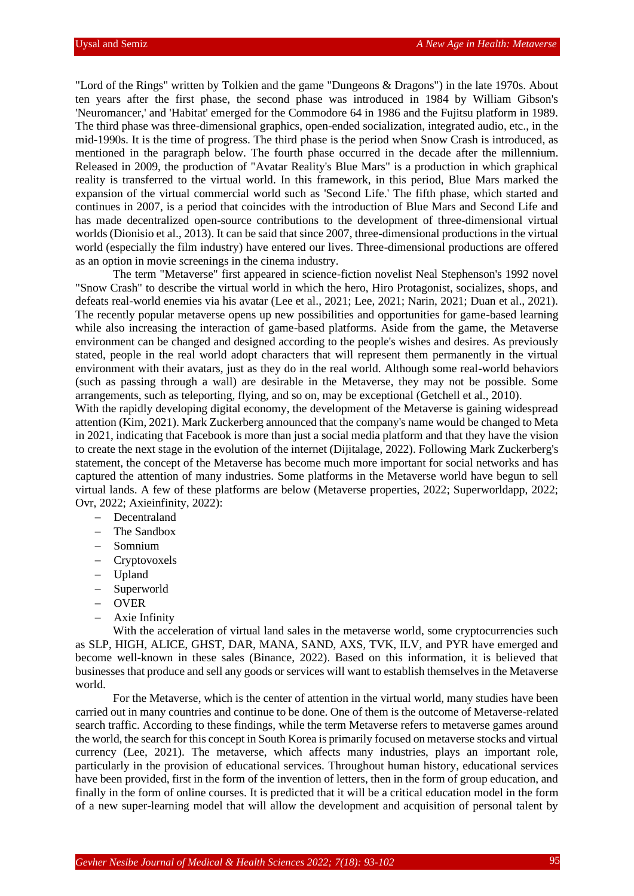"Lord of the Rings" written by Tolkien and the game "Dungeons & Dragons") in the late 1970s. About ten years after the first phase, the second phase was introduced in 1984 by William Gibson's 'Neuromancer,' and 'Habitat' emerged for the Commodore 64 in 1986 and the Fujitsu platform in 1989. The third phase was three-dimensional graphics, open-ended socialization, integrated audio, etc., in the mid-1990s. It is the time of progress. The third phase is the period when Snow Crash is introduced, as mentioned in the paragraph below. The fourth phase occurred in the decade after the millennium. Released in 2009, the production of "Avatar Reality's Blue Mars" is a production in which graphical reality is transferred to the virtual world. In this framework, in this period, Blue Mars marked the expansion of the virtual commercial world such as 'Second Life.' The fifth phase, which started and continues in 2007, is a period that coincides with the introduction of Blue Mars and Second Life and has made decentralized open-source contributions to the development of three-dimensional virtual worlds (Dionisio et al., 2013). It can be said that since 2007, three-dimensional productions in the virtual world (especially the film industry) have entered our lives. Three-dimensional productions are offered as an option in movie screenings in the cinema industry.

The term "Metaverse" first appeared in science-fiction novelist Neal Stephenson's 1992 novel "Snow Crash" to describe the virtual world in which the hero, Hiro Protagonist, socializes, shops, and defeats real-world enemies via his avatar (Lee et al., 2021; Lee, 2021; Narin, 2021; Duan et al., 2021). The recently popular metaverse opens up new possibilities and opportunities for game-based learning while also increasing the interaction of game-based platforms. Aside from the game, the Metaverse environment can be changed and designed according to the people's wishes and desires. As previously stated, people in the real world adopt characters that will represent them permanently in the virtual environment with their avatars, just as they do in the real world. Although some real-world behaviors (such as passing through a wall) are desirable in the Metaverse, they may not be possible. Some arrangements, such as teleporting, flying, and so on, may be exceptional (Getchell et al., 2010).

With the rapidly developing digital economy, the development of the Metaverse is gaining widespread attention (Kim, 2021). Mark Zuckerberg announced that the company's name would be changed to Meta in 2021, indicating that Facebook is more than just a social media platform and that they have the vision to create the next stage in the evolution of the internet (Dijitalage, 2022). Following Mark Zuckerberg's statement, the concept of the Metaverse has become much more important for social networks and has captured the attention of many industries. Some platforms in the Metaverse world have begun to sell virtual lands. A few of these platforms are below (Metaverse properties, 2022; Superworldapp, 2022; Ovr, 2022; Axieinfinity, 2022):

- − Decentraland
- The Sandbox
- − Somnium
- − Cryptovoxels
- − Upland
- − Superworld
- − OVER
- − Axie Infinity

With the acceleration of virtual land sales in the metaverse world, some cryptocurrencies such as SLP, HIGH, ALICE, GHST, DAR, MANA, SAND, AXS, TVK, ILV, and PYR have emerged and become well-known in these sales (Binance, 2022). Based on this information, it is believed that businesses that produce and sell any goods or services will want to establish themselves in the Metaverse world.

For the Metaverse, which is the center of attention in the virtual world, many studies have been carried out in many countries and continue to be done. One of them is the outcome of Metaverse-related search traffic. According to these findings, while the term Metaverse refers to metaverse games around the world, the search for this concept in South Korea is primarily focused on metaverse stocks and virtual currency (Lee, 2021). The metaverse, which affects many industries, plays an important role, particularly in the provision of educational services. Throughout human history, educational services have been provided, first in the form of the invention of letters, then in the form of group education, and finally in the form of online courses. It is predicted that it will be a critical education model in the form of a new super-learning model that will allow the development and acquisition of personal talent by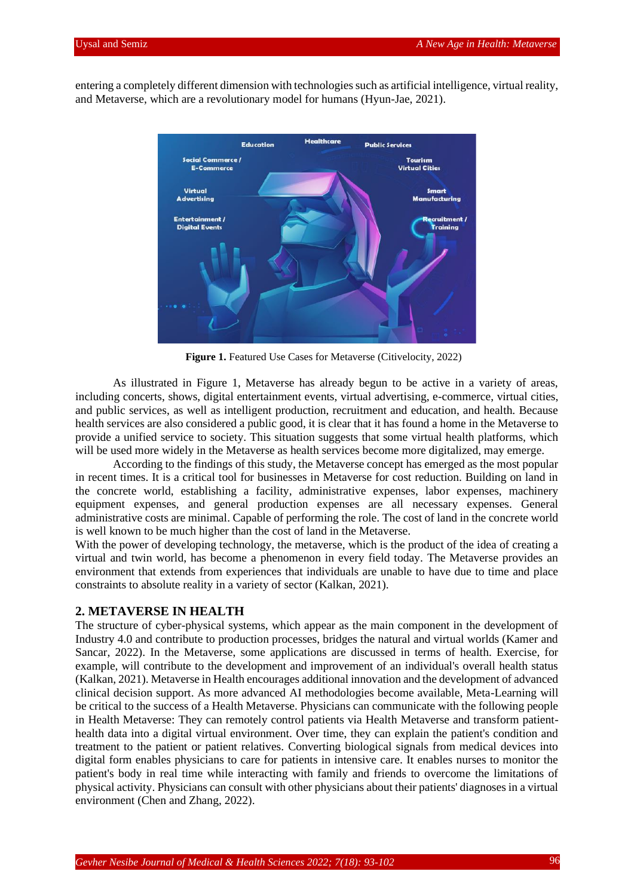entering a completely different dimension with technologies such as artificial intelligence, virtual reality, and Metaverse, which are a revolutionary model for humans (Hyun-Jae, 2021).



 **Figure 1.** Featured Use Cases for Metaverse (Citivelocity, 2022)

As illustrated in Figure 1, Metaverse has already begun to be active in a variety of areas, including concerts, shows, digital entertainment events, virtual advertising, e-commerce, virtual cities, and public services, as well as intelligent production, recruitment and education, and health. Because health services are also considered a public good, it is clear that it has found a home in the Metaverse to provide a unified service to society. This situation suggests that some virtual health platforms, which will be used more widely in the Metaverse as health services become more digitalized, may emerge.

According to the findings of this study, the Metaverse concept has emerged as the most popular in recent times. It is a critical tool for businesses in Metaverse for cost reduction. Building on land in the concrete world, establishing a facility, administrative expenses, labor expenses, machinery equipment expenses, and general production expenses are all necessary expenses. General administrative costs are minimal. Capable of performing the role. The cost of land in the concrete world is well known to be much higher than the cost of land in the Metaverse.

With the power of developing technology, the metaverse, which is the product of the idea of creating a virtual and twin world, has become a phenomenon in every field today. The Metaverse provides an environment that extends from experiences that individuals are unable to have due to time and place constraints to absolute reality in a variety of sector (Kalkan, 2021).

### **2. METAVERSE IN HEALTH**

The structure of cyber-physical systems, which appear as the main component in the development of Industry 4.0 and contribute to production processes, bridges the natural and virtual worlds (Kamer and Sancar, 2022). In the Metaverse, some applications are discussed in terms of health. Exercise, for example, will contribute to the development and improvement of an individual's overall health status (Kalkan, 2021). Metaverse in Health encourages additional innovation and the development of advanced clinical decision support. As more advanced AI methodologies become available, Meta-Learning will be critical to the success of a Health Metaverse. Physicians can communicate with the following people in Health Metaverse: They can remotely control patients via Health Metaverse and transform patienthealth data into a digital virtual environment. Over time, they can explain the patient's condition and treatment to the patient or patient relatives. Converting biological signals from medical devices into digital form enables physicians to care for patients in intensive care. It enables nurses to monitor the patient's body in real time while interacting with family and friends to overcome the limitations of physical activity. Physicians can consult with other physicians about their patients' diagnoses in a virtual environment (Chen and Zhang, 2022).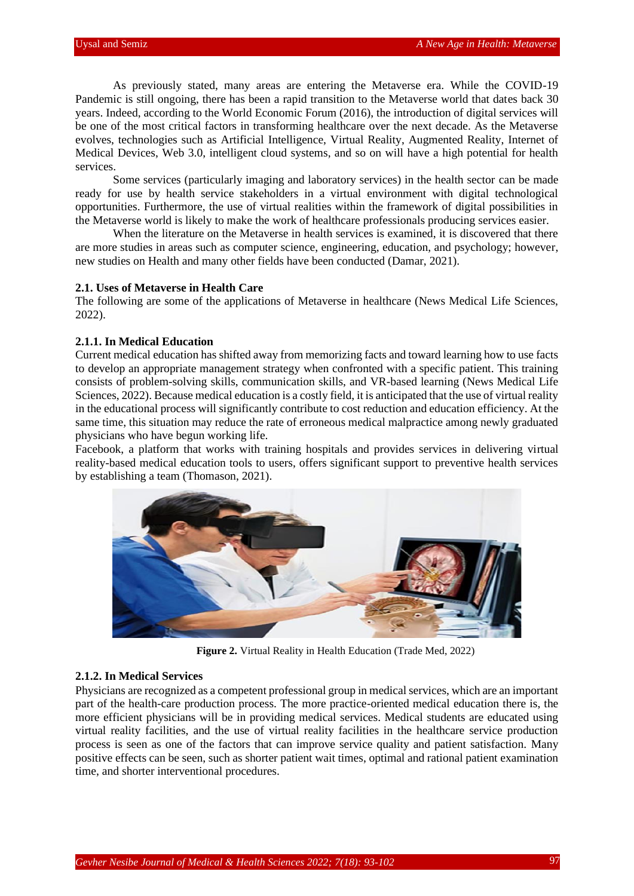As previously stated, many areas are entering the Metaverse era. While the COVID-19 Pandemic is still ongoing, there has been a rapid transition to the Metaverse world that dates back 30 years. Indeed, according to the World Economic Forum (2016), the introduction of digital services will be one of the most critical factors in transforming healthcare over the next decade. As the Metaverse evolves, technologies such as Artificial Intelligence, Virtual Reality, Augmented Reality, Internet of Medical Devices, Web 3.0, intelligent cloud systems, and so on will have a high potential for health services.

Some services (particularly imaging and laboratory services) in the health sector can be made ready for use by health service stakeholders in a virtual environment with digital technological opportunities. Furthermore, the use of virtual realities within the framework of digital possibilities in the Metaverse world is likely to make the work of healthcare professionals producing services easier.

When the literature on the Metaverse in health services is examined, it is discovered that there are more studies in areas such as computer science, engineering, education, and psychology; however, new studies on Health and many other fields have been conducted (Damar, 2021).

### **2.1. Uses of Metaverse in Health Care**

The following are some of the applications of Metaverse in healthcare (News Medical Life Sciences, 2022).

#### **2.1.1. In Medical Education**

Current medical education has shifted away from memorizing facts and toward learning how to use facts to develop an appropriate management strategy when confronted with a specific patient. This training consists of problem-solving skills, communication skills, and VR-based learning (News Medical Life Sciences, 2022). Because medical education is a costly field, it is anticipated that the use of virtual reality in the educational process will significantly contribute to cost reduction and education efficiency. At the same time, this situation may reduce the rate of erroneous medical malpractice among newly graduated physicians who have begun working life.

Facebook, a platform that works with training hospitals and provides services in delivering virtual reality-based medical education tools to users, offers significant support to preventive health services by establishing a team (Thomason, 2021).



**Figure 2.** Virtual Reality in Health Education (Trade Med, 2022)

## **2.1.2. In Medical Services**

Physicians are recognized as a competent professional group in medical services, which are an important part of the health-care production process. The more practice-oriented medical education there is, the more efficient physicians will be in providing medical services. Medical students are educated using virtual reality facilities, and the use of virtual reality facilities in the healthcare service production process is seen as one of the factors that can improve service quality and patient satisfaction. Many positive effects can be seen, such as shorter patient wait times, optimal and rational patient examination time, and shorter interventional procedures.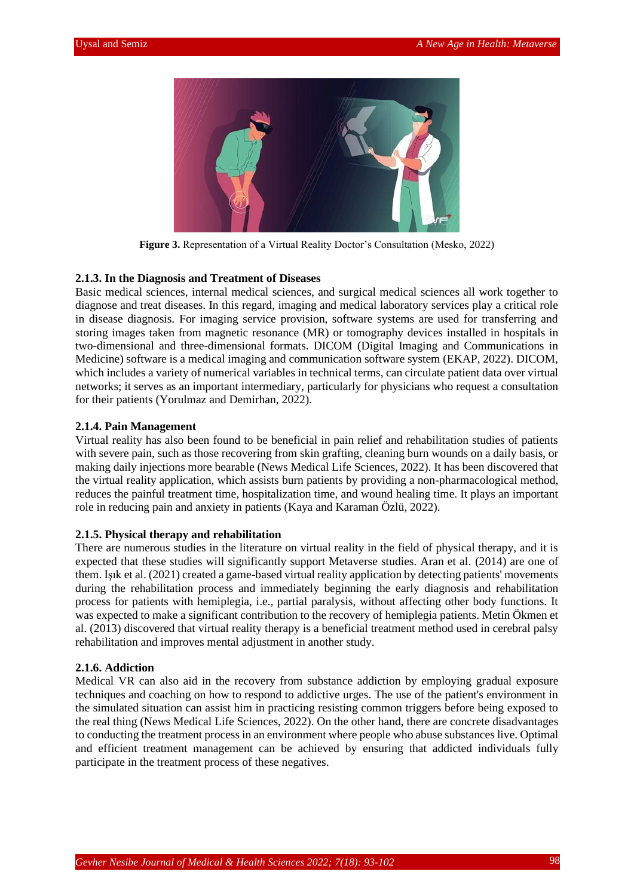

**Figure 3.** Representation of a Virtual Reality Doctor's Consultation (Mesko, 2022)

#### **2.1.3. In the Diagnosis and Treatment of Diseases**

Basic medical sciences, internal medical sciences, and surgical medical sciences all work together to diagnose and treat diseases. In this regard, imaging and medical laboratory services play a critical role in disease diagnosis. For imaging service provision, software systems are used for transferring and storing images taken from magnetic resonance (MR) or tomography devices installed in hospitals in two-dimensional and three-dimensional formats. DICOM (Digital Imaging and Communications in Medicine) software is a medical imaging and communication software system (EKAP, 2022). DICOM, which includes a variety of numerical variables in technical terms, can circulate patient data over virtual networks; it serves as an important intermediary, particularly for physicians who request a consultation for their patients (Yorulmaz and Demirhan, 2022).

#### **2.1.4. Pain Management**

Virtual reality has also been found to be beneficial in pain relief and rehabilitation studies of patients with severe pain, such as those recovering from skin grafting, cleaning burn wounds on a daily basis, or making daily injections more bearable (News Medical Life Sciences, 2022). It has been discovered that the virtual reality application, which assists burn patients by providing a non-pharmacological method, reduces the painful treatment time, hospitalization time, and wound healing time. It plays an important role in reducing pain and anxiety in patients (Kaya and Karaman Özlü, 2022).

#### **2.1.5. Physical therapy and rehabilitation**

There are numerous studies in the literature on virtual reality in the field of physical therapy, and it is expected that these studies will significantly support Metaverse studies. Aran et al. (2014) are one of them. Işık et al. (2021) created a game-based virtual reality application by detecting patients' movements during the rehabilitation process and immediately beginning the early diagnosis and rehabilitation process for patients with hemiplegia, i.e., partial paralysis, without affecting other body functions. It was expected to make a significant contribution to the recovery of hemiplegia patients. Metin Ökmen et al. (2013) discovered that virtual reality therapy is a beneficial treatment method used in cerebral palsy rehabilitation and improves mental adjustment in another study.

#### **2.1.6. Addiction**

Medical VR can also aid in the recovery from substance addiction by employing gradual exposure techniques and coaching on how to respond to addictive urges. The use of the patient's environment in the simulated situation can assist him in practicing resisting common triggers before being exposed to the real thing (News Medical Life Sciences, 2022). On the other hand, there are concrete disadvantages to conducting the treatment process in an environment where people who abuse substances live. Optimal and efficient treatment management can be achieved by ensuring that addicted individuals fully participate in the treatment process of these negatives.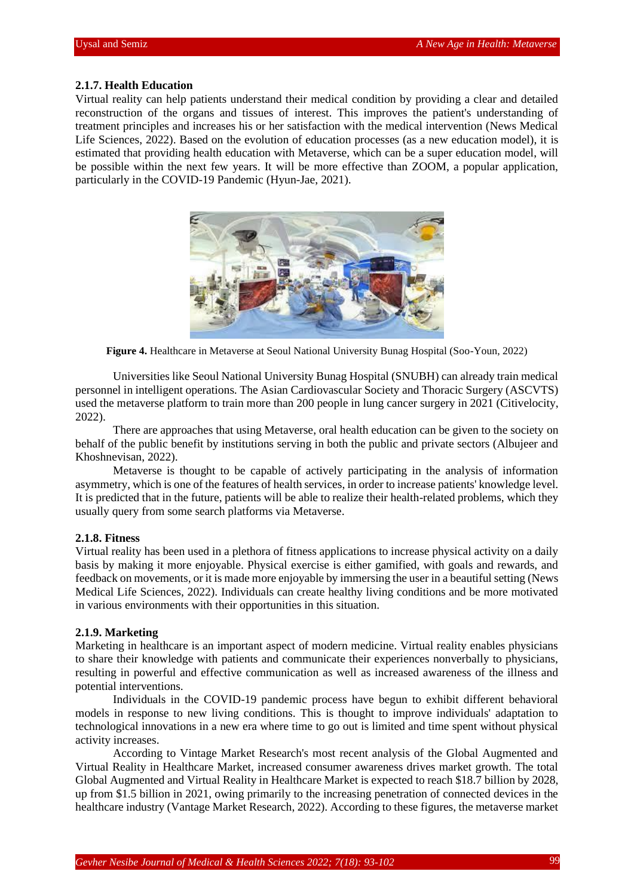### **2.1.7. Health Education**

Virtual reality can help patients understand their medical condition by providing a clear and detailed reconstruction of the organs and tissues of interest. This improves the patient's understanding of treatment principles and increases his or her satisfaction with the medical intervention (News Medical Life Sciences, 2022). Based on the evolution of education processes (as a new education model), it is estimated that providing health education with Metaverse, which can be a super education model, will be possible within the next few years. It will be more effective than ZOOM, a popular application, particularly in the COVID-19 Pandemic (Hyun-Jae, 2021).



**Figure 4.** Healthcare in Metaverse at Seoul National University Bunag Hospital (Soo-Youn, 2022)

Universities like Seoul National University Bunag Hospital (SNUBH) can already train medical personnel in intelligent operations. The Asian Cardiovascular Society and Thoracic Surgery (ASCVTS) used the metaverse platform to train more than 200 people in lung cancer surgery in 2021 (Citivelocity, 2022).

There are approaches that using Metaverse, oral health education can be given to the society on behalf of the public benefit by institutions serving in both the public and private sectors (Albujeer and Khoshnevisan, 2022).

Metaverse is thought to be capable of actively participating in the analysis of information asymmetry, which is one of the features of health services, in order to increase patients' knowledge level. It is predicted that in the future, patients will be able to realize their health-related problems, which they usually query from some search platforms via Metaverse.

### **2.1.8. Fitness**

Virtual reality has been used in a plethora of fitness applications to increase physical activity on a daily basis by making it more enjoyable. Physical exercise is either gamified, with goals and rewards, and feedback on movements, or it is made more enjoyable by immersing the user in a beautiful setting (News Medical Life Sciences, 2022). Individuals can create healthy living conditions and be more motivated in various environments with their opportunities in this situation.

# **2.1.9. Marketing**

Marketing in healthcare is an important aspect of modern medicine. Virtual reality enables physicians to share their knowledge with patients and communicate their experiences nonverbally to physicians, resulting in powerful and effective communication as well as increased awareness of the illness and potential interventions.

Individuals in the COVID-19 pandemic process have begun to exhibit different behavioral models in response to new living conditions. This is thought to improve individuals' adaptation to technological innovations in a new era where time to go out is limited and time spent without physical activity increases.

According to Vintage Market Research's most recent analysis of the Global Augmented and Virtual Reality in Healthcare Market, increased consumer awareness drives market growth. The total Global Augmented and Virtual Reality in Healthcare Market is expected to reach \$18.7 billion by 2028, up from \$1.5 billion in 2021, owing primarily to the increasing penetration of connected devices in the healthcare industry (Vantage Market Research, 2022). According to these figures, the metaverse market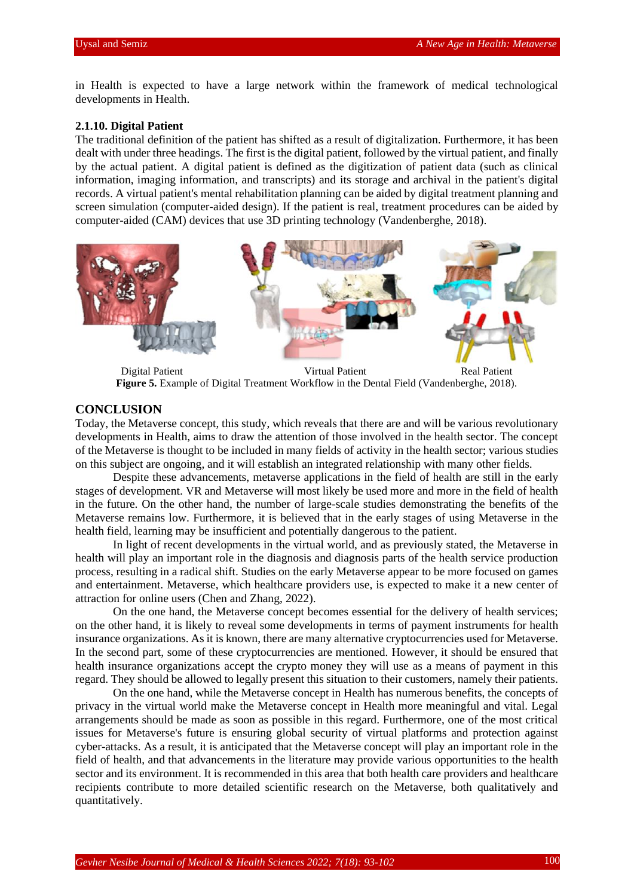in Health is expected to have a large network within the framework of medical technological developments in Health.

## **2.1.10. Digital Patient**

The traditional definition of the patient has shifted as a result of digitalization. Furthermore, it has been dealt with under three headings. The first is the digital patient, followed by the virtual patient, and finally by the actual patient. A digital patient is defined as the digitization of patient data (such as clinical information, imaging information, and transcripts) and its storage and archival in the patient's digital records. A virtual patient's mental rehabilitation planning can be aided by digital treatment planning and screen simulation (computer-aided design). If the patient is real, treatment procedures can be aided by computer-aided (CAM) devices that use 3D printing technology (Vandenberghe, 2018).



Digital Patient Virtual Patient Real Patient **Figure 5.** Example of Digital Treatment Workflow in the Dental Field (Vandenberghe, 2018).

# **CONCLUSION**

Today, the Metaverse concept, this study, which reveals that there are and will be various revolutionary developments in Health, aims to draw the attention of those involved in the health sector. The concept of the Metaverse is thought to be included in many fields of activity in the health sector; various studies on this subject are ongoing, and it will establish an integrated relationship with many other fields.

Despite these advancements, metaverse applications in the field of health are still in the early stages of development. VR and Metaverse will most likely be used more and more in the field of health in the future. On the other hand, the number of large-scale studies demonstrating the benefits of the Metaverse remains low. Furthermore, it is believed that in the early stages of using Metaverse in the health field, learning may be insufficient and potentially dangerous to the patient.

In light of recent developments in the virtual world, and as previously stated, the Metaverse in health will play an important role in the diagnosis and diagnosis parts of the health service production process, resulting in a radical shift. Studies on the early Metaverse appear to be more focused on games and entertainment. Metaverse, which healthcare providers use, is expected to make it a new center of attraction for online users (Chen and Zhang, 2022).

On the one hand, the Metaverse concept becomes essential for the delivery of health services; on the other hand, it is likely to reveal some developments in terms of payment instruments for health insurance organizations. As it is known, there are many alternative cryptocurrencies used for Metaverse. In the second part, some of these cryptocurrencies are mentioned. However, it should be ensured that health insurance organizations accept the crypto money they will use as a means of payment in this regard. They should be allowed to legally present this situation to their customers, namely their patients.

On the one hand, while the Metaverse concept in Health has numerous benefits, the concepts of privacy in the virtual world make the Metaverse concept in Health more meaningful and vital. Legal arrangements should be made as soon as possible in this regard. Furthermore, one of the most critical issues for Metaverse's future is ensuring global security of virtual platforms and protection against cyber-attacks. As a result, it is anticipated that the Metaverse concept will play an important role in the field of health, and that advancements in the literature may provide various opportunities to the health sector and its environment. It is recommended in this area that both health care providers and healthcare recipients contribute to more detailed scientific research on the Metaverse, both qualitatively and quantitatively.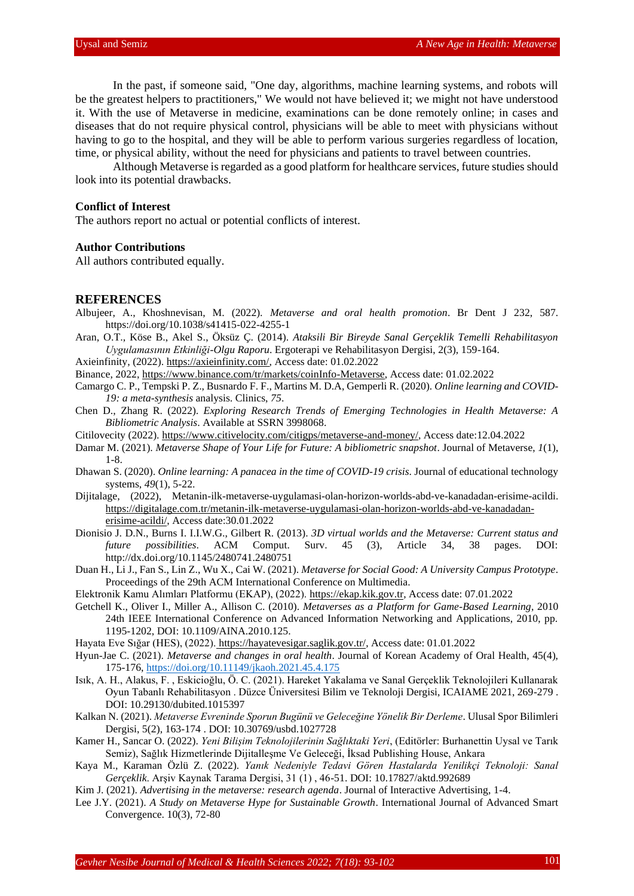In the past, if someone said, "One day, algorithms, machine learning systems, and robots will be the greatest helpers to practitioners," We would not have believed it; we might not have understood it. With the use of Metaverse in medicine, examinations can be done remotely online; in cases and diseases that do not require physical control, physicians will be able to meet with physicians without having to go to the hospital, and they will be able to perform various surgeries regardless of location, time, or physical ability, without the need for physicians and patients to travel between countries.

Although Metaverse is regarded as a good platform for healthcare services, future studies should look into its potential drawbacks.

### **Conflict of Interest**

The authors report no actual or potential conflicts of interest.

#### **Author Contributions**

All authors contributed equally.

#### **REFERENCES**

- Albujeer, A., Khoshnevisan, M. (2022). *Metaverse and oral health promotion*. Br Dent J 232, 587. https://doi.org/10.1038/s41415-022-4255-1
- Aran, O.T., Köse B., Akel S., Öksüz Ç. (2014). *Ataksili Bir Bireyde Sanal Gerçeklik Temelli Rehabilitasyon Uygulamasının Etkinliği-Olgu Raporu*. Ergoterapi ve Rehabilitasyon Dergisi, 2(3), 159-164.
- Axieinfinity, (2022). [https://axieinfinity.com/,](https://axieinfinity.com/) Access date: 01.02.2022
- Binance, 2022[, https://www.binance.com/tr/markets/coinInfo-Metaverse,](https://www.binance.com/tr/markets/coinInfo-Metaverse) Access date: 01.02.2022
- Camargo C. P., Tempski P. Z., Busnardo F. F., Martins M. D.A, Gemperli R. (2020). *Online learning and COVID-19: a meta-synthesis* analysis. Clinics, *75*.
- Chen D., Zhang R. (2022). *Exploring Research Trends of Emerging Technologies in Health Metaverse: A Bibliometric Analysis*. Available at SSRN 3998068.
- Citilovecity (2022). [https://www.citivelocity.com/citigps/metaverse-and-money/,](https://www.citivelocity.com/citigps/metaverse-and-money/) Access date:12.04.2022
- Damar M. (2021). *Metaverse Shape of Your Life for Future: A bibliometric snapshot*. Journal of Metaverse, *1*(1), 1-8.
- Dhawan S. (2020). *Online learning: A panacea in the time of COVID-19 crisis*. Journal of educational technology systems, *49*(1), 5-22.
- Dijitalage, (2022), Metanin-ilk-metaverse-uygulamasi-olan-horizon-worlds-abd-ve-kanadadan-erisime-acildi. [https://digitalage.com.tr/metanin-ilk-metaverse-uygulamasi-olan-horizon-worlds-abd-ve-kanadadan](https://digitalage.com.tr/metanin-ilk-metaverse-uygulamasi-olan-horizon-worlds-abd-ve-kanadadan-erisime-acildi/)[erisime-acildi/,](https://digitalage.com.tr/metanin-ilk-metaverse-uygulamasi-olan-horizon-worlds-abd-ve-kanadadan-erisime-acildi/) Access date:30.01.2022
- Dionisio J. D.N., Burns I. I.I.W.G., Gilbert R. (2013). *3D virtual worlds and the Metaverse: Current status and future possibilities*. ACM Comput. Surv. 45 (3), Article 34, 38 pages. DOI: http://dx.doi.org/10.1145/2480741.2480751
- Duan H., Li J., Fan S., Lin Z., Wu X., Cai W. (2021). *Metaverse for Social Good: A University Campus Prototype*. Proceedings of the 29th ACM International Conference on Multimedia.
- Elektronik Kamu Alımları Platformu (EKAP), (2022). [https://ekap.kik.gov.tr,](https://ekap.kik.gov.tr/) Access date: 07.01.2022
- Getchell K., Oliver I., Miller A., Allison C. (2010). *Metaverses as a Platform for Game-Based Learning*, 2010 24th IEEE International Conference on Advanced Information Networking and Applications, 2010, pp. 1195-1202, DOI: 10.1109/AINA.2010.125.
- Hayata Eve Sığar (HES), (2022). [https://hayatevesigar.saglik.gov.tr/,](https://hayatevesigar.saglik.gov.tr/) Access date: 01.01.2022
- Hyun-Jae C. (2021). *Metaverse and changes in oral health*. Journal of Korean Academy of Oral Health, 45(4), 175-176[, https://doi.org/10.11149/jkaoh.2021.45.4.175](https://doi.org/10.11149/jkaoh.2021.45.4.175)
- Isık, A. H., Alakus, F. , Eskicioğlu, Ö. C. (2021). Hareket Yakalama ve Sanal Gerçeklik Teknolojileri Kullanarak Oyun Tabanlı Rehabilitasyon . Düzce Üniversitesi Bilim ve Teknoloji Dergisi, ICAIAME 2021, 269-279 . DOI: 10.29130/dubited.1015397
- Kalkan N. (2021). *Metaverse Evreninde Sporun Bugünü ve Geleceğine Yönelik Bir Derleme*. Ulusal Spor Bilimleri Dergisi, 5(2), 163-174 . DOI: 10.30769/usbd.1027728
- Kamer H., Sancar O. (2022). *Yeni Bilişim Teknolojilerinin Sağlıktaki Yeri*, (Editörler: Burhanettin Uysal ve Tarık Semiz), Sağlık Hizmetlerinde Dijitalleşme Ve Geleceği, İksad Publishing House, Ankara
- Kaya M., Karaman Özlü Z. (2022). *Yanık Nedeniyle Tedavi Gören Hastalarda Yenilikçi Teknoloji: Sanal Gerçeklik*. Arşiv Kaynak Tarama Dergisi, 31 (1) , 46-51. DOI: 10.17827/aktd.992689
- Kim J. (2021). *Advertising in the metaverse: research agenda*. Journal of Interactive Advertising, 1-4.
- Lee J.Y. (2021). *A Study on Metaverse Hype for Sustainable Growth*. International Journal of Advanced Smart Convergence. 10(3), 72-80